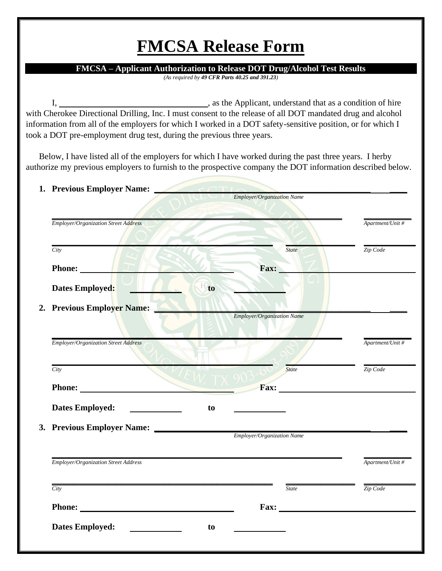## **FMCSA Release Form**

**FMCSA – Applicant Authorization to Release DOT Drug/Alcohol Test Results**

*(As required by 49 CFR Parts 40.25 and 391.23)*

I, , as the Applicant, understand that as a condition of hire with Cherokee Directional Drilling, Inc. I must consent to the release of all DOT mandated drug and alcohol information from all of the employers for which I worked in a DOT safety-sensitive position, or for which I took a DOT pre-employment drug test, during the previous three years.

Below, I have listed all of the employers for which I have worked during the past three years. I herby authorize my previous employers to furnish to the prospective company the DOT information described below.

| 1. Previous Employer Name:                                                                                                                                                                                                                                                                                                                                                                                                                       |                                   |                                                                                                                                                                                                                                |
|--------------------------------------------------------------------------------------------------------------------------------------------------------------------------------------------------------------------------------------------------------------------------------------------------------------------------------------------------------------------------------------------------------------------------------------------------|-----------------------------------|--------------------------------------------------------------------------------------------------------------------------------------------------------------------------------------------------------------------------------|
|                                                                                                                                                                                                                                                                                                                                                                                                                                                  | <i>Employer/Organization Name</i> |                                                                                                                                                                                                                                |
| <b>Employer/Organization Street Address</b>                                                                                                                                                                                                                                                                                                                                                                                                      |                                   | Apartment/Unit #                                                                                                                                                                                                               |
|                                                                                                                                                                                                                                                                                                                                                                                                                                                  |                                   |                                                                                                                                                                                                                                |
| City                                                                                                                                                                                                                                                                                                                                                                                                                                             | <b>State</b>                      | Zip Code                                                                                                                                                                                                                       |
|                                                                                                                                                                                                                                                                                                                                                                                                                                                  |                                   |                                                                                                                                                                                                                                |
| Phone:                                                                                                                                                                                                                                                                                                                                                                                                                                           | Fax: _                            |                                                                                                                                                                                                                                |
| Dates Employed:                                                                                                                                                                                                                                                                                                                                                                                                                                  | to                                |                                                                                                                                                                                                                                |
| 2. Previous Employer Name:                                                                                                                                                                                                                                                                                                                                                                                                                       |                                   |                                                                                                                                                                                                                                |
|                                                                                                                                                                                                                                                                                                                                                                                                                                                  | Employer/Organization Name        |                                                                                                                                                                                                                                |
|                                                                                                                                                                                                                                                                                                                                                                                                                                                  |                                   |                                                                                                                                                                                                                                |
| <b>Employer/Organization Street Address</b>                                                                                                                                                                                                                                                                                                                                                                                                      |                                   | Apartment/Unit #                                                                                                                                                                                                               |
|                                                                                                                                                                                                                                                                                                                                                                                                                                                  |                                   |                                                                                                                                                                                                                                |
| City                                                                                                                                                                                                                                                                                                                                                                                                                                             | <b>State</b>                      | Zip Code                                                                                                                                                                                                                       |
| Phone: New York of the Contract of the Contract of the Contract of the Contract of the Contract of the Contract of the Contract of the Contract of the Contract of the Contract of the Contract of the Contract of the Contrac                                                                                                                                                                                                                   |                                   | $\text{Fax:}\n\begin{array}{ccc}\n\hline\n\end{array}$                                                                                                                                                                         |
| <b>Dates Employed:</b><br>$\begin{tabular}{ccccc} \multicolumn{2}{c }{\textbf{1} & \textbf{2} & \textbf{3} & \textbf{4} & \textbf{5} & \textbf{5} & \textbf{6} & \textbf{7} & \textbf{8} & \textbf{8} & \textbf{9} & \textbf{10} & \textbf{10} & \textbf{10} & \textbf{10} & \textbf{10} & \textbf{10} & \textbf{10} & \textbf{10} & \textbf{10} & \textbf{10} & \textbf{10} & \textbf{10} & \textbf{10} & \textbf{10} & \textbf{10} & \textbf{$ | to                                |                                                                                                                                                                                                                                |
|                                                                                                                                                                                                                                                                                                                                                                                                                                                  |                                   |                                                                                                                                                                                                                                |
|                                                                                                                                                                                                                                                                                                                                                                                                                                                  | Employer/Organization Name        |                                                                                                                                                                                                                                |
|                                                                                                                                                                                                                                                                                                                                                                                                                                                  |                                   |                                                                                                                                                                                                                                |
| Employer/Organization Street Address                                                                                                                                                                                                                                                                                                                                                                                                             |                                   | Apartment/Unit #                                                                                                                                                                                                               |
|                                                                                                                                                                                                                                                                                                                                                                                                                                                  |                                   |                                                                                                                                                                                                                                |
| City                                                                                                                                                                                                                                                                                                                                                                                                                                             | <b>State</b>                      | Zip Code                                                                                                                                                                                                                       |
| Phone: <u>the contract of the contract of the contract of the contract of the contract of the contract of the contract of the contract of the contract of the contract of the contract of the contract of the contract of the co</u>                                                                                                                                                                                                             |                                   | Fax: The contract of the contract of the contract of the contract of the contract of the contract of the contract of the contract of the contract of the contract of the contract of the contract of the contract of the contr |
|                                                                                                                                                                                                                                                                                                                                                                                                                                                  |                                   |                                                                                                                                                                                                                                |
| <b>Dates Employed:</b><br>$\label{eq:2} \begin{split} \mathcal{L}_{\text{max}}(\mathcal{L}_{\text{max}},\mathcal{L}_{\text{max}}) = \mathcal{L}_{\text{max}}(\mathcal{L}_{\text{max}}) \end{split}$                                                                                                                                                                                                                                              | to                                |                                                                                                                                                                                                                                |